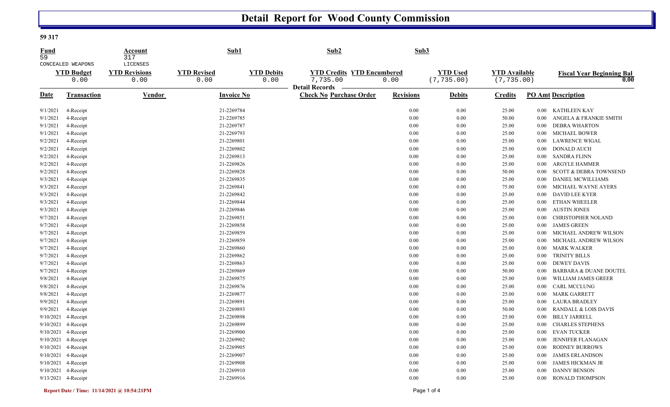## **Detail Report for Wood County Commission**

## **59 317**

| CONCEALED WEAPONS<br><b>YTD Debits</b><br><b>YTD Credits YTD Encumbered</b><br><b>YTD Used</b><br><b>YTD</b> Available<br><b>YTD Budget</b><br><b>YTD Revisions</b><br><b>YTD Revised</b><br><b>Fiscal Year Beginning Bal</b><br>0.00<br>7,735.00<br>0.00<br>(7, 735.00)<br>(7, 735.00)<br>0.00<br>0.00<br>0.00<br>0.00<br><b>Detail Records</b><br><b>Date</b><br>Vendor<br><b>Invoice No</b><br><b>Check No Purchase Order</b><br><b>Revisions</b><br><b>PO Amt Description</b><br>Transaction<br><b>Debits</b><br><b>Credits</b><br>21-2269784<br>0.00<br>KATHLEEN KAY<br>9/1/2021<br>4-Receipt<br>0.00<br>25.00<br>$0.00\,$<br>9/1/2021<br>21-2269785<br>0.00<br>0.00<br>50.00<br>ANGELA & FRANKIE SMITH<br>4-Receipt<br>$0.00\,$<br>9/1/2021<br>21-2269787<br>0.00<br>0.00<br>25.00<br><b>DEBRA WHARTON</b><br>4-Receipt<br>0.00<br>9/1/2021<br>4-Receipt<br>21-2269793<br>0.00<br>0.00<br>25.00<br><b>MICHAEL BOWER</b><br>$0.00\,$<br>9/2/2021<br>21-2269801<br>4-Receipt<br>0.00<br>0.00<br>25.00<br><b>LAWRENCE WIGAL</b><br>0.00<br>9/2/2021<br>21-2269802<br>4-Receipt<br>0.00<br>0.00<br>25.00<br><b>DONALD AUCH</b><br>$0.00\,$<br>9/2/2021<br>21-2269813<br>0.00<br>0.00<br>25.00<br><b>SANDRA FLINN</b><br>4-Receipt<br>0.00<br>9/2/2021<br>4-Receipt<br>21-2269826<br>0.00<br>0.00<br>25.00<br><b>ARGYLE HAMMER</b><br>$0.00\,$<br>9/2/2021<br>21-2269828<br>4-Receipt<br>0.00<br>0.00<br>50.00<br>0.00<br><b>SCOTT &amp; DEBRA TOWNSEND</b><br>9/3/2021<br>21-2269835<br>4-Receipt<br>0.00<br>0.00<br>25.00<br>DANIEL MCWILLIAMS<br>0.00<br>9/3/2021<br>4-Receipt<br>21-2269841<br>0.00<br>75.00<br>MICHAEL WAYNE AYERS<br>0.00<br>0.00<br>9/3/2021<br>21-2269842<br>4-Receipt<br>0.00<br>0.00<br>25.00<br><b>DAVID LEE KYER</b><br>0.00<br>9/3/2021<br>4-Receipt<br>21-2269844<br>0.00<br>0.00<br>25.00<br><b>ETHAN WHEELER</b><br>0.00<br>9/3/2021<br>21-2269846<br>4-Receipt<br>0.00<br>0.00<br>25.00<br><b>AUSTIN JONES</b><br>$0.00\,$<br>9/7/2021<br>21-2269851<br>0.00<br>0.00<br>25.00<br>CHRISTOPHER NOLAND<br>4-Receipt<br>$0.00\,$<br>9/7/2021<br>21-2269858<br>4-Receipt<br>0.00<br>0.00<br>25.00<br><b>JAMES GREEN</b><br>$0.00\,$<br>9/7/2021<br>21-2269859<br>0.00<br>0.00<br>25.00<br>MICHAEL ANDREW WILSON<br>4-Receipt<br>$0.00\,$<br>9/7/2021<br>21-2269859<br>4-Receipt<br>0.00<br>0.00<br>25.00<br>MICHAEL ANDREW WILSON<br>0.00<br>9/7/2021<br>21-2269860<br>0.00<br>0.00<br><b>MARK WALKER</b><br>4-Receipt<br>25.00<br>$0.00\,$<br>9/7/2021<br>21-2269862<br>0.00<br>25.00<br><b>TRINITY BILLS</b><br>4-Receipt<br>0.00<br>$0.00\,$<br>9/7/2021<br>21-2269863<br>4-Receipt<br>0.00<br>0.00<br>25.00<br><b>DEWEY DAVIS</b><br>$0.00\,$<br>9/7/2021<br>21-2269869<br>0.00<br>4-Receipt<br>0.00<br>50.00<br><b>BARBARA &amp; DUANE DOUTEL</b><br>0.00<br>9/8/2021<br>4-Receipt<br>21-2269875<br>0.00<br>0.00<br>25.00<br>WILLIAM JAMES GREER<br>0.00<br>9/8/2021<br>21-2269876<br><b>CARL MCCLUNG</b><br>4-Receipt<br>0.00<br>0.00<br>25.00<br>$0.00\,$<br>9/8/2021<br>21-2269877<br><b>MARK GARRETT</b><br>4-Receipt<br>0.00<br>0.00<br>25.00<br>$0.00\,$<br>9/9/2021<br>21-2269891<br>0.00<br>0.00<br>25.00<br><b>LAURA BRADLEY</b><br>4-Receipt<br>0.00 <sub>1</sub><br>9/9/2021<br>4-Receipt<br>21-2269893<br>0.00<br>$0.00\,$<br>50.00<br><b>RANDALL &amp; LOIS DAVIS</b><br>0.00<br>9/10/2021<br>4-Receipt<br>21-2269898<br><b>BILLY JARRELL</b><br>0.00<br>0.00<br>25.00<br>0.00<br>21-2269899<br>9/10/2021<br>4-Receipt<br>0.00<br>0.00<br>25.00<br><b>CHARLES STEPHENS</b><br>$0.00\,$<br>9/10/2021 4-Receipt<br>21-2269900<br>0.00<br>0.00<br>25.00<br><b>EVAN TUCKER</b><br>0.00<br>9/10/2021 4-Receipt<br>21-2269902<br>0.00<br>0.00<br>25.00<br><b>JENNIFER FLANAGAN</b><br>0.00<br>9/10/2021 4-Receipt<br>21-2269905<br>0.00<br>$0.00\,$<br>25.00<br>$0.00\,$<br>RODNEY BURROWS<br>9/10/2021 4-Receipt<br>21-2269907<br><b>JAMES ERLANDSON</b><br>0.00<br>0.00<br>25.00<br>$0.00\,$<br>9/10/2021 4-Receipt<br>21-2269908<br>0.00<br>25.00<br><b>JAMES HICKMAN JR</b><br>0.00<br>0.00 <sub>1</sub><br>9/10/2021 4-Receipt<br>21-2269910<br>0.00<br>0.00<br>25.00<br><b>DANNY BENSON</b><br>0.00<br>9/13/2021 4-Receipt<br>21-2269916<br>0.00<br>0.00<br>25.00<br><b>RONALD THOMPSON</b><br>$0.00\,$ | <b>Fund</b><br>59 | Account<br>317 | Sub1 | Sub <sub>2</sub> | Sub3 |  |  |
|--------------------------------------------------------------------------------------------------------------------------------------------------------------------------------------------------------------------------------------------------------------------------------------------------------------------------------------------------------------------------------------------------------------------------------------------------------------------------------------------------------------------------------------------------------------------------------------------------------------------------------------------------------------------------------------------------------------------------------------------------------------------------------------------------------------------------------------------------------------------------------------------------------------------------------------------------------------------------------------------------------------------------------------------------------------------------------------------------------------------------------------------------------------------------------------------------------------------------------------------------------------------------------------------------------------------------------------------------------------------------------------------------------------------------------------------------------------------------------------------------------------------------------------------------------------------------------------------------------------------------------------------------------------------------------------------------------------------------------------------------------------------------------------------------------------------------------------------------------------------------------------------------------------------------------------------------------------------------------------------------------------------------------------------------------------------------------------------------------------------------------------------------------------------------------------------------------------------------------------------------------------------------------------------------------------------------------------------------------------------------------------------------------------------------------------------------------------------------------------------------------------------------------------------------------------------------------------------------------------------------------------------------------------------------------------------------------------------------------------------------------------------------------------------------------------------------------------------------------------------------------------------------------------------------------------------------------------------------------------------------------------------------------------------------------------------------------------------------------------------------------------------------------------------------------------------------------------------------------------------------------------------------------------------------------------------------------------------------------------------------------------------------------------------------------------------------------------------------------------------------------------------------------------------------------------------------------------------------------------------------------------------------------------------------------------------------------------------------------------------------------------------------------------------------------------------------------------------------------------------------------------------------------------------------------------------------------------------------------------------------------------------------------------------------------------------------------------------------------------------------------------------------------------------------------------------------------------------------------------------------------|-------------------|----------------|------|------------------|------|--|--|
|                                                                                                                                                                                                                                                                                                                                                                                                                                                                                                                                                                                                                                                                                                                                                                                                                                                                                                                                                                                                                                                                                                                                                                                                                                                                                                                                                                                                                                                                                                                                                                                                                                                                                                                                                                                                                                                                                                                                                                                                                                                                                                                                                                                                                                                                                                                                                                                                                                                                                                                                                                                                                                                                                                                                                                                                                                                                                                                                                                                                                                                                                                                                                                                                                                                                                                                                                                                                                                                                                                                                                                                                                                                                                                                                                                                                                                                                                                                                                                                                                                                                                                                                                                                                                                                        |                   | LICENSES       |      |                  |      |  |  |
|                                                                                                                                                                                                                                                                                                                                                                                                                                                                                                                                                                                                                                                                                                                                                                                                                                                                                                                                                                                                                                                                                                                                                                                                                                                                                                                                                                                                                                                                                                                                                                                                                                                                                                                                                                                                                                                                                                                                                                                                                                                                                                                                                                                                                                                                                                                                                                                                                                                                                                                                                                                                                                                                                                                                                                                                                                                                                                                                                                                                                                                                                                                                                                                                                                                                                                                                                                                                                                                                                                                                                                                                                                                                                                                                                                                                                                                                                                                                                                                                                                                                                                                                                                                                                                                        |                   |                |      |                  |      |  |  |
|                                                                                                                                                                                                                                                                                                                                                                                                                                                                                                                                                                                                                                                                                                                                                                                                                                                                                                                                                                                                                                                                                                                                                                                                                                                                                                                                                                                                                                                                                                                                                                                                                                                                                                                                                                                                                                                                                                                                                                                                                                                                                                                                                                                                                                                                                                                                                                                                                                                                                                                                                                                                                                                                                                                                                                                                                                                                                                                                                                                                                                                                                                                                                                                                                                                                                                                                                                                                                                                                                                                                                                                                                                                                                                                                                                                                                                                                                                                                                                                                                                                                                                                                                                                                                                                        |                   |                |      |                  |      |  |  |
|                                                                                                                                                                                                                                                                                                                                                                                                                                                                                                                                                                                                                                                                                                                                                                                                                                                                                                                                                                                                                                                                                                                                                                                                                                                                                                                                                                                                                                                                                                                                                                                                                                                                                                                                                                                                                                                                                                                                                                                                                                                                                                                                                                                                                                                                                                                                                                                                                                                                                                                                                                                                                                                                                                                                                                                                                                                                                                                                                                                                                                                                                                                                                                                                                                                                                                                                                                                                                                                                                                                                                                                                                                                                                                                                                                                                                                                                                                                                                                                                                                                                                                                                                                                                                                                        |                   |                |      |                  |      |  |  |
|                                                                                                                                                                                                                                                                                                                                                                                                                                                                                                                                                                                                                                                                                                                                                                                                                                                                                                                                                                                                                                                                                                                                                                                                                                                                                                                                                                                                                                                                                                                                                                                                                                                                                                                                                                                                                                                                                                                                                                                                                                                                                                                                                                                                                                                                                                                                                                                                                                                                                                                                                                                                                                                                                                                                                                                                                                                                                                                                                                                                                                                                                                                                                                                                                                                                                                                                                                                                                                                                                                                                                                                                                                                                                                                                                                                                                                                                                                                                                                                                                                                                                                                                                                                                                                                        |                   |                |      |                  |      |  |  |
|                                                                                                                                                                                                                                                                                                                                                                                                                                                                                                                                                                                                                                                                                                                                                                                                                                                                                                                                                                                                                                                                                                                                                                                                                                                                                                                                                                                                                                                                                                                                                                                                                                                                                                                                                                                                                                                                                                                                                                                                                                                                                                                                                                                                                                                                                                                                                                                                                                                                                                                                                                                                                                                                                                                                                                                                                                                                                                                                                                                                                                                                                                                                                                                                                                                                                                                                                                                                                                                                                                                                                                                                                                                                                                                                                                                                                                                                                                                                                                                                                                                                                                                                                                                                                                                        |                   |                |      |                  |      |  |  |
|                                                                                                                                                                                                                                                                                                                                                                                                                                                                                                                                                                                                                                                                                                                                                                                                                                                                                                                                                                                                                                                                                                                                                                                                                                                                                                                                                                                                                                                                                                                                                                                                                                                                                                                                                                                                                                                                                                                                                                                                                                                                                                                                                                                                                                                                                                                                                                                                                                                                                                                                                                                                                                                                                                                                                                                                                                                                                                                                                                                                                                                                                                                                                                                                                                                                                                                                                                                                                                                                                                                                                                                                                                                                                                                                                                                                                                                                                                                                                                                                                                                                                                                                                                                                                                                        |                   |                |      |                  |      |  |  |
|                                                                                                                                                                                                                                                                                                                                                                                                                                                                                                                                                                                                                                                                                                                                                                                                                                                                                                                                                                                                                                                                                                                                                                                                                                                                                                                                                                                                                                                                                                                                                                                                                                                                                                                                                                                                                                                                                                                                                                                                                                                                                                                                                                                                                                                                                                                                                                                                                                                                                                                                                                                                                                                                                                                                                                                                                                                                                                                                                                                                                                                                                                                                                                                                                                                                                                                                                                                                                                                                                                                                                                                                                                                                                                                                                                                                                                                                                                                                                                                                                                                                                                                                                                                                                                                        |                   |                |      |                  |      |  |  |
|                                                                                                                                                                                                                                                                                                                                                                                                                                                                                                                                                                                                                                                                                                                                                                                                                                                                                                                                                                                                                                                                                                                                                                                                                                                                                                                                                                                                                                                                                                                                                                                                                                                                                                                                                                                                                                                                                                                                                                                                                                                                                                                                                                                                                                                                                                                                                                                                                                                                                                                                                                                                                                                                                                                                                                                                                                                                                                                                                                                                                                                                                                                                                                                                                                                                                                                                                                                                                                                                                                                                                                                                                                                                                                                                                                                                                                                                                                                                                                                                                                                                                                                                                                                                                                                        |                   |                |      |                  |      |  |  |
|                                                                                                                                                                                                                                                                                                                                                                                                                                                                                                                                                                                                                                                                                                                                                                                                                                                                                                                                                                                                                                                                                                                                                                                                                                                                                                                                                                                                                                                                                                                                                                                                                                                                                                                                                                                                                                                                                                                                                                                                                                                                                                                                                                                                                                                                                                                                                                                                                                                                                                                                                                                                                                                                                                                                                                                                                                                                                                                                                                                                                                                                                                                                                                                                                                                                                                                                                                                                                                                                                                                                                                                                                                                                                                                                                                                                                                                                                                                                                                                                                                                                                                                                                                                                                                                        |                   |                |      |                  |      |  |  |
|                                                                                                                                                                                                                                                                                                                                                                                                                                                                                                                                                                                                                                                                                                                                                                                                                                                                                                                                                                                                                                                                                                                                                                                                                                                                                                                                                                                                                                                                                                                                                                                                                                                                                                                                                                                                                                                                                                                                                                                                                                                                                                                                                                                                                                                                                                                                                                                                                                                                                                                                                                                                                                                                                                                                                                                                                                                                                                                                                                                                                                                                                                                                                                                                                                                                                                                                                                                                                                                                                                                                                                                                                                                                                                                                                                                                                                                                                                                                                                                                                                                                                                                                                                                                                                                        |                   |                |      |                  |      |  |  |
|                                                                                                                                                                                                                                                                                                                                                                                                                                                                                                                                                                                                                                                                                                                                                                                                                                                                                                                                                                                                                                                                                                                                                                                                                                                                                                                                                                                                                                                                                                                                                                                                                                                                                                                                                                                                                                                                                                                                                                                                                                                                                                                                                                                                                                                                                                                                                                                                                                                                                                                                                                                                                                                                                                                                                                                                                                                                                                                                                                                                                                                                                                                                                                                                                                                                                                                                                                                                                                                                                                                                                                                                                                                                                                                                                                                                                                                                                                                                                                                                                                                                                                                                                                                                                                                        |                   |                |      |                  |      |  |  |
|                                                                                                                                                                                                                                                                                                                                                                                                                                                                                                                                                                                                                                                                                                                                                                                                                                                                                                                                                                                                                                                                                                                                                                                                                                                                                                                                                                                                                                                                                                                                                                                                                                                                                                                                                                                                                                                                                                                                                                                                                                                                                                                                                                                                                                                                                                                                                                                                                                                                                                                                                                                                                                                                                                                                                                                                                                                                                                                                                                                                                                                                                                                                                                                                                                                                                                                                                                                                                                                                                                                                                                                                                                                                                                                                                                                                                                                                                                                                                                                                                                                                                                                                                                                                                                                        |                   |                |      |                  |      |  |  |
|                                                                                                                                                                                                                                                                                                                                                                                                                                                                                                                                                                                                                                                                                                                                                                                                                                                                                                                                                                                                                                                                                                                                                                                                                                                                                                                                                                                                                                                                                                                                                                                                                                                                                                                                                                                                                                                                                                                                                                                                                                                                                                                                                                                                                                                                                                                                                                                                                                                                                                                                                                                                                                                                                                                                                                                                                                                                                                                                                                                                                                                                                                                                                                                                                                                                                                                                                                                                                                                                                                                                                                                                                                                                                                                                                                                                                                                                                                                                                                                                                                                                                                                                                                                                                                                        |                   |                |      |                  |      |  |  |
|                                                                                                                                                                                                                                                                                                                                                                                                                                                                                                                                                                                                                                                                                                                                                                                                                                                                                                                                                                                                                                                                                                                                                                                                                                                                                                                                                                                                                                                                                                                                                                                                                                                                                                                                                                                                                                                                                                                                                                                                                                                                                                                                                                                                                                                                                                                                                                                                                                                                                                                                                                                                                                                                                                                                                                                                                                                                                                                                                                                                                                                                                                                                                                                                                                                                                                                                                                                                                                                                                                                                                                                                                                                                                                                                                                                                                                                                                                                                                                                                                                                                                                                                                                                                                                                        |                   |                |      |                  |      |  |  |
|                                                                                                                                                                                                                                                                                                                                                                                                                                                                                                                                                                                                                                                                                                                                                                                                                                                                                                                                                                                                                                                                                                                                                                                                                                                                                                                                                                                                                                                                                                                                                                                                                                                                                                                                                                                                                                                                                                                                                                                                                                                                                                                                                                                                                                                                                                                                                                                                                                                                                                                                                                                                                                                                                                                                                                                                                                                                                                                                                                                                                                                                                                                                                                                                                                                                                                                                                                                                                                                                                                                                                                                                                                                                                                                                                                                                                                                                                                                                                                                                                                                                                                                                                                                                                                                        |                   |                |      |                  |      |  |  |
|                                                                                                                                                                                                                                                                                                                                                                                                                                                                                                                                                                                                                                                                                                                                                                                                                                                                                                                                                                                                                                                                                                                                                                                                                                                                                                                                                                                                                                                                                                                                                                                                                                                                                                                                                                                                                                                                                                                                                                                                                                                                                                                                                                                                                                                                                                                                                                                                                                                                                                                                                                                                                                                                                                                                                                                                                                                                                                                                                                                                                                                                                                                                                                                                                                                                                                                                                                                                                                                                                                                                                                                                                                                                                                                                                                                                                                                                                                                                                                                                                                                                                                                                                                                                                                                        |                   |                |      |                  |      |  |  |
|                                                                                                                                                                                                                                                                                                                                                                                                                                                                                                                                                                                                                                                                                                                                                                                                                                                                                                                                                                                                                                                                                                                                                                                                                                                                                                                                                                                                                                                                                                                                                                                                                                                                                                                                                                                                                                                                                                                                                                                                                                                                                                                                                                                                                                                                                                                                                                                                                                                                                                                                                                                                                                                                                                                                                                                                                                                                                                                                                                                                                                                                                                                                                                                                                                                                                                                                                                                                                                                                                                                                                                                                                                                                                                                                                                                                                                                                                                                                                                                                                                                                                                                                                                                                                                                        |                   |                |      |                  |      |  |  |
|                                                                                                                                                                                                                                                                                                                                                                                                                                                                                                                                                                                                                                                                                                                                                                                                                                                                                                                                                                                                                                                                                                                                                                                                                                                                                                                                                                                                                                                                                                                                                                                                                                                                                                                                                                                                                                                                                                                                                                                                                                                                                                                                                                                                                                                                                                                                                                                                                                                                                                                                                                                                                                                                                                                                                                                                                                                                                                                                                                                                                                                                                                                                                                                                                                                                                                                                                                                                                                                                                                                                                                                                                                                                                                                                                                                                                                                                                                                                                                                                                                                                                                                                                                                                                                                        |                   |                |      |                  |      |  |  |
|                                                                                                                                                                                                                                                                                                                                                                                                                                                                                                                                                                                                                                                                                                                                                                                                                                                                                                                                                                                                                                                                                                                                                                                                                                                                                                                                                                                                                                                                                                                                                                                                                                                                                                                                                                                                                                                                                                                                                                                                                                                                                                                                                                                                                                                                                                                                                                                                                                                                                                                                                                                                                                                                                                                                                                                                                                                                                                                                                                                                                                                                                                                                                                                                                                                                                                                                                                                                                                                                                                                                                                                                                                                                                                                                                                                                                                                                                                                                                                                                                                                                                                                                                                                                                                                        |                   |                |      |                  |      |  |  |
|                                                                                                                                                                                                                                                                                                                                                                                                                                                                                                                                                                                                                                                                                                                                                                                                                                                                                                                                                                                                                                                                                                                                                                                                                                                                                                                                                                                                                                                                                                                                                                                                                                                                                                                                                                                                                                                                                                                                                                                                                                                                                                                                                                                                                                                                                                                                                                                                                                                                                                                                                                                                                                                                                                                                                                                                                                                                                                                                                                                                                                                                                                                                                                                                                                                                                                                                                                                                                                                                                                                                                                                                                                                                                                                                                                                                                                                                                                                                                                                                                                                                                                                                                                                                                                                        |                   |                |      |                  |      |  |  |
|                                                                                                                                                                                                                                                                                                                                                                                                                                                                                                                                                                                                                                                                                                                                                                                                                                                                                                                                                                                                                                                                                                                                                                                                                                                                                                                                                                                                                                                                                                                                                                                                                                                                                                                                                                                                                                                                                                                                                                                                                                                                                                                                                                                                                                                                                                                                                                                                                                                                                                                                                                                                                                                                                                                                                                                                                                                                                                                                                                                                                                                                                                                                                                                                                                                                                                                                                                                                                                                                                                                                                                                                                                                                                                                                                                                                                                                                                                                                                                                                                                                                                                                                                                                                                                                        |                   |                |      |                  |      |  |  |
|                                                                                                                                                                                                                                                                                                                                                                                                                                                                                                                                                                                                                                                                                                                                                                                                                                                                                                                                                                                                                                                                                                                                                                                                                                                                                                                                                                                                                                                                                                                                                                                                                                                                                                                                                                                                                                                                                                                                                                                                                                                                                                                                                                                                                                                                                                                                                                                                                                                                                                                                                                                                                                                                                                                                                                                                                                                                                                                                                                                                                                                                                                                                                                                                                                                                                                                                                                                                                                                                                                                                                                                                                                                                                                                                                                                                                                                                                                                                                                                                                                                                                                                                                                                                                                                        |                   |                |      |                  |      |  |  |
|                                                                                                                                                                                                                                                                                                                                                                                                                                                                                                                                                                                                                                                                                                                                                                                                                                                                                                                                                                                                                                                                                                                                                                                                                                                                                                                                                                                                                                                                                                                                                                                                                                                                                                                                                                                                                                                                                                                                                                                                                                                                                                                                                                                                                                                                                                                                                                                                                                                                                                                                                                                                                                                                                                                                                                                                                                                                                                                                                                                                                                                                                                                                                                                                                                                                                                                                                                                                                                                                                                                                                                                                                                                                                                                                                                                                                                                                                                                                                                                                                                                                                                                                                                                                                                                        |                   |                |      |                  |      |  |  |
|                                                                                                                                                                                                                                                                                                                                                                                                                                                                                                                                                                                                                                                                                                                                                                                                                                                                                                                                                                                                                                                                                                                                                                                                                                                                                                                                                                                                                                                                                                                                                                                                                                                                                                                                                                                                                                                                                                                                                                                                                                                                                                                                                                                                                                                                                                                                                                                                                                                                                                                                                                                                                                                                                                                                                                                                                                                                                                                                                                                                                                                                                                                                                                                                                                                                                                                                                                                                                                                                                                                                                                                                                                                                                                                                                                                                                                                                                                                                                                                                                                                                                                                                                                                                                                                        |                   |                |      |                  |      |  |  |
|                                                                                                                                                                                                                                                                                                                                                                                                                                                                                                                                                                                                                                                                                                                                                                                                                                                                                                                                                                                                                                                                                                                                                                                                                                                                                                                                                                                                                                                                                                                                                                                                                                                                                                                                                                                                                                                                                                                                                                                                                                                                                                                                                                                                                                                                                                                                                                                                                                                                                                                                                                                                                                                                                                                                                                                                                                                                                                                                                                                                                                                                                                                                                                                                                                                                                                                                                                                                                                                                                                                                                                                                                                                                                                                                                                                                                                                                                                                                                                                                                                                                                                                                                                                                                                                        |                   |                |      |                  |      |  |  |
|                                                                                                                                                                                                                                                                                                                                                                                                                                                                                                                                                                                                                                                                                                                                                                                                                                                                                                                                                                                                                                                                                                                                                                                                                                                                                                                                                                                                                                                                                                                                                                                                                                                                                                                                                                                                                                                                                                                                                                                                                                                                                                                                                                                                                                                                                                                                                                                                                                                                                                                                                                                                                                                                                                                                                                                                                                                                                                                                                                                                                                                                                                                                                                                                                                                                                                                                                                                                                                                                                                                                                                                                                                                                                                                                                                                                                                                                                                                                                                                                                                                                                                                                                                                                                                                        |                   |                |      |                  |      |  |  |
|                                                                                                                                                                                                                                                                                                                                                                                                                                                                                                                                                                                                                                                                                                                                                                                                                                                                                                                                                                                                                                                                                                                                                                                                                                                                                                                                                                                                                                                                                                                                                                                                                                                                                                                                                                                                                                                                                                                                                                                                                                                                                                                                                                                                                                                                                                                                                                                                                                                                                                                                                                                                                                                                                                                                                                                                                                                                                                                                                                                                                                                                                                                                                                                                                                                                                                                                                                                                                                                                                                                                                                                                                                                                                                                                                                                                                                                                                                                                                                                                                                                                                                                                                                                                                                                        |                   |                |      |                  |      |  |  |
|                                                                                                                                                                                                                                                                                                                                                                                                                                                                                                                                                                                                                                                                                                                                                                                                                                                                                                                                                                                                                                                                                                                                                                                                                                                                                                                                                                                                                                                                                                                                                                                                                                                                                                                                                                                                                                                                                                                                                                                                                                                                                                                                                                                                                                                                                                                                                                                                                                                                                                                                                                                                                                                                                                                                                                                                                                                                                                                                                                                                                                                                                                                                                                                                                                                                                                                                                                                                                                                                                                                                                                                                                                                                                                                                                                                                                                                                                                                                                                                                                                                                                                                                                                                                                                                        |                   |                |      |                  |      |  |  |
|                                                                                                                                                                                                                                                                                                                                                                                                                                                                                                                                                                                                                                                                                                                                                                                                                                                                                                                                                                                                                                                                                                                                                                                                                                                                                                                                                                                                                                                                                                                                                                                                                                                                                                                                                                                                                                                                                                                                                                                                                                                                                                                                                                                                                                                                                                                                                                                                                                                                                                                                                                                                                                                                                                                                                                                                                                                                                                                                                                                                                                                                                                                                                                                                                                                                                                                                                                                                                                                                                                                                                                                                                                                                                                                                                                                                                                                                                                                                                                                                                                                                                                                                                                                                                                                        |                   |                |      |                  |      |  |  |
|                                                                                                                                                                                                                                                                                                                                                                                                                                                                                                                                                                                                                                                                                                                                                                                                                                                                                                                                                                                                                                                                                                                                                                                                                                                                                                                                                                                                                                                                                                                                                                                                                                                                                                                                                                                                                                                                                                                                                                                                                                                                                                                                                                                                                                                                                                                                                                                                                                                                                                                                                                                                                                                                                                                                                                                                                                                                                                                                                                                                                                                                                                                                                                                                                                                                                                                                                                                                                                                                                                                                                                                                                                                                                                                                                                                                                                                                                                                                                                                                                                                                                                                                                                                                                                                        |                   |                |      |                  |      |  |  |
|                                                                                                                                                                                                                                                                                                                                                                                                                                                                                                                                                                                                                                                                                                                                                                                                                                                                                                                                                                                                                                                                                                                                                                                                                                                                                                                                                                                                                                                                                                                                                                                                                                                                                                                                                                                                                                                                                                                                                                                                                                                                                                                                                                                                                                                                                                                                                                                                                                                                                                                                                                                                                                                                                                                                                                                                                                                                                                                                                                                                                                                                                                                                                                                                                                                                                                                                                                                                                                                                                                                                                                                                                                                                                                                                                                                                                                                                                                                                                                                                                                                                                                                                                                                                                                                        |                   |                |      |                  |      |  |  |
|                                                                                                                                                                                                                                                                                                                                                                                                                                                                                                                                                                                                                                                                                                                                                                                                                                                                                                                                                                                                                                                                                                                                                                                                                                                                                                                                                                                                                                                                                                                                                                                                                                                                                                                                                                                                                                                                                                                                                                                                                                                                                                                                                                                                                                                                                                                                                                                                                                                                                                                                                                                                                                                                                                                                                                                                                                                                                                                                                                                                                                                                                                                                                                                                                                                                                                                                                                                                                                                                                                                                                                                                                                                                                                                                                                                                                                                                                                                                                                                                                                                                                                                                                                                                                                                        |                   |                |      |                  |      |  |  |
|                                                                                                                                                                                                                                                                                                                                                                                                                                                                                                                                                                                                                                                                                                                                                                                                                                                                                                                                                                                                                                                                                                                                                                                                                                                                                                                                                                                                                                                                                                                                                                                                                                                                                                                                                                                                                                                                                                                                                                                                                                                                                                                                                                                                                                                                                                                                                                                                                                                                                                                                                                                                                                                                                                                                                                                                                                                                                                                                                                                                                                                                                                                                                                                                                                                                                                                                                                                                                                                                                                                                                                                                                                                                                                                                                                                                                                                                                                                                                                                                                                                                                                                                                                                                                                                        |                   |                |      |                  |      |  |  |
|                                                                                                                                                                                                                                                                                                                                                                                                                                                                                                                                                                                                                                                                                                                                                                                                                                                                                                                                                                                                                                                                                                                                                                                                                                                                                                                                                                                                                                                                                                                                                                                                                                                                                                                                                                                                                                                                                                                                                                                                                                                                                                                                                                                                                                                                                                                                                                                                                                                                                                                                                                                                                                                                                                                                                                                                                                                                                                                                                                                                                                                                                                                                                                                                                                                                                                                                                                                                                                                                                                                                                                                                                                                                                                                                                                                                                                                                                                                                                                                                                                                                                                                                                                                                                                                        |                   |                |      |                  |      |  |  |
|                                                                                                                                                                                                                                                                                                                                                                                                                                                                                                                                                                                                                                                                                                                                                                                                                                                                                                                                                                                                                                                                                                                                                                                                                                                                                                                                                                                                                                                                                                                                                                                                                                                                                                                                                                                                                                                                                                                                                                                                                                                                                                                                                                                                                                                                                                                                                                                                                                                                                                                                                                                                                                                                                                                                                                                                                                                                                                                                                                                                                                                                                                                                                                                                                                                                                                                                                                                                                                                                                                                                                                                                                                                                                                                                                                                                                                                                                                                                                                                                                                                                                                                                                                                                                                                        |                   |                |      |                  |      |  |  |
|                                                                                                                                                                                                                                                                                                                                                                                                                                                                                                                                                                                                                                                                                                                                                                                                                                                                                                                                                                                                                                                                                                                                                                                                                                                                                                                                                                                                                                                                                                                                                                                                                                                                                                                                                                                                                                                                                                                                                                                                                                                                                                                                                                                                                                                                                                                                                                                                                                                                                                                                                                                                                                                                                                                                                                                                                                                                                                                                                                                                                                                                                                                                                                                                                                                                                                                                                                                                                                                                                                                                                                                                                                                                                                                                                                                                                                                                                                                                                                                                                                                                                                                                                                                                                                                        |                   |                |      |                  |      |  |  |
|                                                                                                                                                                                                                                                                                                                                                                                                                                                                                                                                                                                                                                                                                                                                                                                                                                                                                                                                                                                                                                                                                                                                                                                                                                                                                                                                                                                                                                                                                                                                                                                                                                                                                                                                                                                                                                                                                                                                                                                                                                                                                                                                                                                                                                                                                                                                                                                                                                                                                                                                                                                                                                                                                                                                                                                                                                                                                                                                                                                                                                                                                                                                                                                                                                                                                                                                                                                                                                                                                                                                                                                                                                                                                                                                                                                                                                                                                                                                                                                                                                                                                                                                                                                                                                                        |                   |                |      |                  |      |  |  |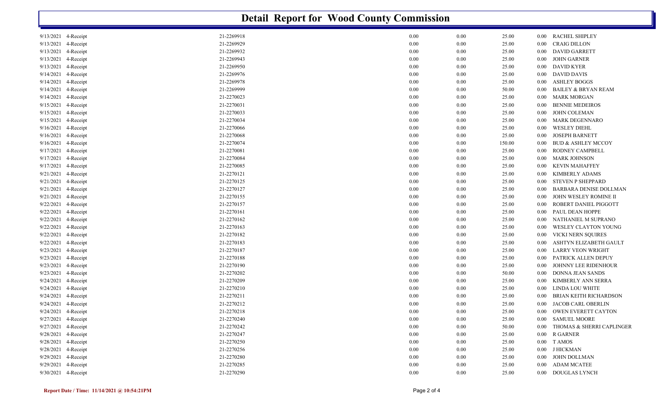| 21-2269918<br><b>RACHEL SHIPLEY</b><br>9/13/2021 4-Receipt<br>0.00<br>0.00<br>25.00<br>$0.00\,$<br>4-Receipt<br>21-2269929<br><b>CRAIG DILLON</b><br>9/13/2021<br>0.00<br>0.00<br>25.00<br>0.00<br>9/13/2021<br>4-Receipt<br>21-2269932<br>0.00<br>0.00<br><b>DAVID GARRETT</b><br>25.00<br>0.00<br>4-Receipt<br>21-2269943<br>0.00<br><b>JOHN GARNER</b><br>9/13/2021<br>0.00<br>25.00<br>0.00<br>21-2269950<br><b>DAVID KYER</b><br>9/13/2021<br>4-Receipt<br>0.00<br>0.00<br>25.00<br>$0.00\,$<br>4-Receipt<br>21-2269976<br><b>DAVID DAVIS</b><br>9/14/2021<br>0.00<br>0.00<br>25.00<br>$0.00\,$<br>21-2269978<br>9/14/2021<br>4-Receipt<br>0.00<br>0.00<br>25.00<br><b>ASHLEY BOGGS</b><br>0.00<br>21-2269999<br>9/14/2021<br>4-Receipt<br>0.00<br>0.00<br>50.00<br><b>BAILEY &amp; BRYAN REAM</b><br>0.00<br>9/14/2021<br>4-Receipt<br>21-2270023<br>0.00<br><b>MARK MORGAN</b><br>0.00<br>25.00<br>0.00<br>9/15/2021<br>4-Receipt<br>21-2270031<br>0.00<br><b>BENNIE MEDEIROS</b><br>0.00<br>25.00<br>0.00<br>4-Receipt<br>21-2270033<br>9/15/2021<br>0.00<br>0.00<br>25.00<br><b>JOHN COLEMAN</b><br>0.00 | <b>Detail Report for Wood County Commission</b> |  |  |  |  |  |  |  |  |  |
|-------------------------------------------------------------------------------------------------------------------------------------------------------------------------------------------------------------------------------------------------------------------------------------------------------------------------------------------------------------------------------------------------------------------------------------------------------------------------------------------------------------------------------------------------------------------------------------------------------------------------------------------------------------------------------------------------------------------------------------------------------------------------------------------------------------------------------------------------------------------------------------------------------------------------------------------------------------------------------------------------------------------------------------------------------------------------------------------------------------------|-------------------------------------------------|--|--|--|--|--|--|--|--|--|
|                                                                                                                                                                                                                                                                                                                                                                                                                                                                                                                                                                                                                                                                                                                                                                                                                                                                                                                                                                                                                                                                                                                   |                                                 |  |  |  |  |  |  |  |  |  |
|                                                                                                                                                                                                                                                                                                                                                                                                                                                                                                                                                                                                                                                                                                                                                                                                                                                                                                                                                                                                                                                                                                                   |                                                 |  |  |  |  |  |  |  |  |  |
|                                                                                                                                                                                                                                                                                                                                                                                                                                                                                                                                                                                                                                                                                                                                                                                                                                                                                                                                                                                                                                                                                                                   |                                                 |  |  |  |  |  |  |  |  |  |
|                                                                                                                                                                                                                                                                                                                                                                                                                                                                                                                                                                                                                                                                                                                                                                                                                                                                                                                                                                                                                                                                                                                   |                                                 |  |  |  |  |  |  |  |  |  |
|                                                                                                                                                                                                                                                                                                                                                                                                                                                                                                                                                                                                                                                                                                                                                                                                                                                                                                                                                                                                                                                                                                                   |                                                 |  |  |  |  |  |  |  |  |  |
|                                                                                                                                                                                                                                                                                                                                                                                                                                                                                                                                                                                                                                                                                                                                                                                                                                                                                                                                                                                                                                                                                                                   |                                                 |  |  |  |  |  |  |  |  |  |
|                                                                                                                                                                                                                                                                                                                                                                                                                                                                                                                                                                                                                                                                                                                                                                                                                                                                                                                                                                                                                                                                                                                   |                                                 |  |  |  |  |  |  |  |  |  |
|                                                                                                                                                                                                                                                                                                                                                                                                                                                                                                                                                                                                                                                                                                                                                                                                                                                                                                                                                                                                                                                                                                                   |                                                 |  |  |  |  |  |  |  |  |  |
|                                                                                                                                                                                                                                                                                                                                                                                                                                                                                                                                                                                                                                                                                                                                                                                                                                                                                                                                                                                                                                                                                                                   |                                                 |  |  |  |  |  |  |  |  |  |
|                                                                                                                                                                                                                                                                                                                                                                                                                                                                                                                                                                                                                                                                                                                                                                                                                                                                                                                                                                                                                                                                                                                   |                                                 |  |  |  |  |  |  |  |  |  |
|                                                                                                                                                                                                                                                                                                                                                                                                                                                                                                                                                                                                                                                                                                                                                                                                                                                                                                                                                                                                                                                                                                                   |                                                 |  |  |  |  |  |  |  |  |  |
| 9/15/2021<br>4-Receipt<br>21-2270034<br>0.00<br>0.00<br>25.00<br>MARK DEGENNARO<br>0.00                                                                                                                                                                                                                                                                                                                                                                                                                                                                                                                                                                                                                                                                                                                                                                                                                                                                                                                                                                                                                           |                                                 |  |  |  |  |  |  |  |  |  |
| 9/16/2021<br>4-Receipt<br>21-2270066<br><b>WESLEY DIEHL</b><br>0.00<br>0.00<br>25.00<br>0.00                                                                                                                                                                                                                                                                                                                                                                                                                                                                                                                                                                                                                                                                                                                                                                                                                                                                                                                                                                                                                      |                                                 |  |  |  |  |  |  |  |  |  |
| 21-2270068<br><b>JOSEPH BARNETT</b><br>9/16/2021<br>4-Receipt<br>0.00<br>0.00<br>25.00<br>0.00                                                                                                                                                                                                                                                                                                                                                                                                                                                                                                                                                                                                                                                                                                                                                                                                                                                                                                                                                                                                                    |                                                 |  |  |  |  |  |  |  |  |  |
| 9/16/2021<br>4-Receipt<br>21-2270074<br>0.00<br>0.00<br>150.00<br><b>BUD &amp; ASHLEY MCCOY</b><br>0.00                                                                                                                                                                                                                                                                                                                                                                                                                                                                                                                                                                                                                                                                                                                                                                                                                                                                                                                                                                                                           |                                                 |  |  |  |  |  |  |  |  |  |
| 4-Receipt<br>21-2270081<br>RODNEY CAMPBELL<br>9/17/2021<br>0.00<br>0.00<br>25.00<br>0.00                                                                                                                                                                                                                                                                                                                                                                                                                                                                                                                                                                                                                                                                                                                                                                                                                                                                                                                                                                                                                          |                                                 |  |  |  |  |  |  |  |  |  |
| 21-2270084<br><b>MARK JOHNSON</b><br>9/17/2021<br>4-Receipt<br>0.00<br>0.00<br>25.00<br>$0.00\,$                                                                                                                                                                                                                                                                                                                                                                                                                                                                                                                                                                                                                                                                                                                                                                                                                                                                                                                                                                                                                  |                                                 |  |  |  |  |  |  |  |  |  |
| 4-Receipt<br>21-2270085<br><b>KEVIN MAHAFFEY</b><br>9/17/2021<br>0.00<br>0.00<br>25.00<br>$0.00\,$                                                                                                                                                                                                                                                                                                                                                                                                                                                                                                                                                                                                                                                                                                                                                                                                                                                                                                                                                                                                                |                                                 |  |  |  |  |  |  |  |  |  |
| 21-2270121<br>9/21/2021<br>4-Receipt<br>0.00<br>0.00<br>25.00<br>KIMBERLY ADAMS<br>0.00                                                                                                                                                                                                                                                                                                                                                                                                                                                                                                                                                                                                                                                                                                                                                                                                                                                                                                                                                                                                                           |                                                 |  |  |  |  |  |  |  |  |  |
| 21-2270125<br>9/21/2021<br>4-Receipt<br>0.00<br>0.00<br>25.00<br><b>STEVEN P SHEPPARD</b><br>$0.00\,$                                                                                                                                                                                                                                                                                                                                                                                                                                                                                                                                                                                                                                                                                                                                                                                                                                                                                                                                                                                                             |                                                 |  |  |  |  |  |  |  |  |  |
| 21-2270127<br>9/21/2021<br>4-Receipt<br>0.00<br>0.00<br>25.00<br><b>BARBARA DENISE DOLLMAN</b><br>0.00                                                                                                                                                                                                                                                                                                                                                                                                                                                                                                                                                                                                                                                                                                                                                                                                                                                                                                                                                                                                            |                                                 |  |  |  |  |  |  |  |  |  |
| 9/21/2021<br>4-Receipt<br>21-2270155<br>0.00<br>JOHN WESLEY ROMINE II<br>0.00<br>25.00<br>0.00                                                                                                                                                                                                                                                                                                                                                                                                                                                                                                                                                                                                                                                                                                                                                                                                                                                                                                                                                                                                                    |                                                 |  |  |  |  |  |  |  |  |  |
| 4-Receipt<br>21-2270157<br>9/22/2021<br>0.00<br>0.00<br>25.00<br>ROBERT DANIEL PIGGOTT<br>$0.00\,$                                                                                                                                                                                                                                                                                                                                                                                                                                                                                                                                                                                                                                                                                                                                                                                                                                                                                                                                                                                                                |                                                 |  |  |  |  |  |  |  |  |  |
| 4-Receipt<br>21-2270161<br>PAUL DEAN HOPPE<br>9/22/2021<br>0.00<br>0.00<br>25.00<br>0.00                                                                                                                                                                                                                                                                                                                                                                                                                                                                                                                                                                                                                                                                                                                                                                                                                                                                                                                                                                                                                          |                                                 |  |  |  |  |  |  |  |  |  |
| 4-Receipt<br>21-2270162<br>9/22/2021<br>0.00<br>0.00<br>25.00<br>NATHANIEL M SUPRANO<br>0.00                                                                                                                                                                                                                                                                                                                                                                                                                                                                                                                                                                                                                                                                                                                                                                                                                                                                                                                                                                                                                      |                                                 |  |  |  |  |  |  |  |  |  |
| 21-2270163<br>4-Receipt<br><b>WESLEY CLAYTON YOUNG</b><br>9/22/2021<br>0.00<br>0.00<br>25.00<br>0.00                                                                                                                                                                                                                                                                                                                                                                                                                                                                                                                                                                                                                                                                                                                                                                                                                                                                                                                                                                                                              |                                                 |  |  |  |  |  |  |  |  |  |
| 21-2270182<br>9/22/2021<br>4-Receipt<br>0.00<br>VICKI NERN SQUIRES<br>0.00<br>25.00<br>0.00                                                                                                                                                                                                                                                                                                                                                                                                                                                                                                                                                                                                                                                                                                                                                                                                                                                                                                                                                                                                                       |                                                 |  |  |  |  |  |  |  |  |  |
| 9/22/2021<br>4-Receipt<br>21-2270183<br>0.00<br>ASHTYN ELIZABETH GAULT<br>0.00<br>25.00<br>0.00                                                                                                                                                                                                                                                                                                                                                                                                                                                                                                                                                                                                                                                                                                                                                                                                                                                                                                                                                                                                                   |                                                 |  |  |  |  |  |  |  |  |  |
| 4-Receipt<br>21-2270187<br>9/23/2021<br>0.00<br>0.00<br>25.00<br>LARRY VEON WRIGHT<br>$0.00\,$                                                                                                                                                                                                                                                                                                                                                                                                                                                                                                                                                                                                                                                                                                                                                                                                                                                                                                                                                                                                                    |                                                 |  |  |  |  |  |  |  |  |  |
| 21-2270188<br>9/23/2021<br>4-Receipt<br>0.00<br>0.00<br>25.00<br>PATRICK ALLEN DEPUY<br>$0.00\,$                                                                                                                                                                                                                                                                                                                                                                                                                                                                                                                                                                                                                                                                                                                                                                                                                                                                                                                                                                                                                  |                                                 |  |  |  |  |  |  |  |  |  |
| 4-Receipt<br>21-2270190<br>JOHNNY LEE RIDENHOUR<br>9/23/2021<br>0.00<br>0.00<br>25.00<br>0.00                                                                                                                                                                                                                                                                                                                                                                                                                                                                                                                                                                                                                                                                                                                                                                                                                                                                                                                                                                                                                     |                                                 |  |  |  |  |  |  |  |  |  |
| 21-2270202<br>9/23/2021<br>4-Receipt<br>0.00<br>0.00<br>50.00<br>DONNA JEAN SANDS<br>$0.00\,$                                                                                                                                                                                                                                                                                                                                                                                                                                                                                                                                                                                                                                                                                                                                                                                                                                                                                                                                                                                                                     |                                                 |  |  |  |  |  |  |  |  |  |
| 9/24/2021<br>4-Receipt<br>21-2270209<br>KIMBERLY ANN SERRA<br>0.00<br>0.00<br>25.00<br>0.00                                                                                                                                                                                                                                                                                                                                                                                                                                                                                                                                                                                                                                                                                                                                                                                                                                                                                                                                                                                                                       |                                                 |  |  |  |  |  |  |  |  |  |
| 9/24/2021<br>4-Receipt<br>21-2270210<br><b>LINDA LOU WHITE</b><br>0.00<br>0.00<br>25.00<br>0.00                                                                                                                                                                                                                                                                                                                                                                                                                                                                                                                                                                                                                                                                                                                                                                                                                                                                                                                                                                                                                   |                                                 |  |  |  |  |  |  |  |  |  |
| 9/24/2021<br>4-Receipt<br>21-2270211<br>0.00<br>0.00<br>25.00<br><b>BRIAN KEITH RICHARDSON</b><br>0.00                                                                                                                                                                                                                                                                                                                                                                                                                                                                                                                                                                                                                                                                                                                                                                                                                                                                                                                                                                                                            |                                                 |  |  |  |  |  |  |  |  |  |
| 9/24/2021 4-Receipt<br>21-2270212<br>0.00<br>0.00<br>25.00<br>JACOB CARL OBERLIN<br>$0.00\,$                                                                                                                                                                                                                                                                                                                                                                                                                                                                                                                                                                                                                                                                                                                                                                                                                                                                                                                                                                                                                      |                                                 |  |  |  |  |  |  |  |  |  |
| 21-2270218<br>9/24/2021 4-Receipt<br>0.00<br>0.00<br>25.00<br>0.00 OWEN EVERETT CAYTON                                                                                                                                                                                                                                                                                                                                                                                                                                                                                                                                                                                                                                                                                                                                                                                                                                                                                                                                                                                                                            |                                                 |  |  |  |  |  |  |  |  |  |
| 21-2270240<br>0.00 SAMUEL MOORE<br>9/27/2021 4-Receipt<br>0.00<br>0.00<br>25.00                                                                                                                                                                                                                                                                                                                                                                                                                                                                                                                                                                                                                                                                                                                                                                                                                                                                                                                                                                                                                                   |                                                 |  |  |  |  |  |  |  |  |  |
| 21-2270242<br>9/27/2021 4-Receipt<br>0.00<br>0.00<br>50.00<br>0.00 THOMAS & SHERRI CAPLINGER                                                                                                                                                                                                                                                                                                                                                                                                                                                                                                                                                                                                                                                                                                                                                                                                                                                                                                                                                                                                                      |                                                 |  |  |  |  |  |  |  |  |  |
| 9/28/2021 4-Receipt<br>21-2270247<br>0.00<br>0.00<br>25.00<br>0.00 R GARNER                                                                                                                                                                                                                                                                                                                                                                                                                                                                                                                                                                                                                                                                                                                                                                                                                                                                                                                                                                                                                                       |                                                 |  |  |  |  |  |  |  |  |  |
| 21-2270250<br>$0.00$ T AMOS<br>9/28/2021 4-Receipt<br>0.00<br>0.00<br>25.00                                                                                                                                                                                                                                                                                                                                                                                                                                                                                                                                                                                                                                                                                                                                                                                                                                                                                                                                                                                                                                       |                                                 |  |  |  |  |  |  |  |  |  |
| 9/28/2021 4-Receipt<br>21-2270256<br>0.00 J HICKMAN<br>0.00<br>0.00<br>25.00                                                                                                                                                                                                                                                                                                                                                                                                                                                                                                                                                                                                                                                                                                                                                                                                                                                                                                                                                                                                                                      |                                                 |  |  |  |  |  |  |  |  |  |
| 9/29/2021 4-Receipt<br>21-2270280<br>0.00<br>0.00<br>25.00<br>0.00 JOHN DOLLMAN                                                                                                                                                                                                                                                                                                                                                                                                                                                                                                                                                                                                                                                                                                                                                                                                                                                                                                                                                                                                                                   |                                                 |  |  |  |  |  |  |  |  |  |
| 9/29/2021 4-Receipt<br>21-2270285<br>0.00<br>0.00<br>25.00<br>0.00 ADAM MCATEE                                                                                                                                                                                                                                                                                                                                                                                                                                                                                                                                                                                                                                                                                                                                                                                                                                                                                                                                                                                                                                    |                                                 |  |  |  |  |  |  |  |  |  |
| 9/30/2021 4-Receipt<br>21-2270290<br>0.00<br>0.00<br>0.00 DOUGLAS LYNCH<br>25.00                                                                                                                                                                                                                                                                                                                                                                                                                                                                                                                                                                                                                                                                                                                                                                                                                                                                                                                                                                                                                                  |                                                 |  |  |  |  |  |  |  |  |  |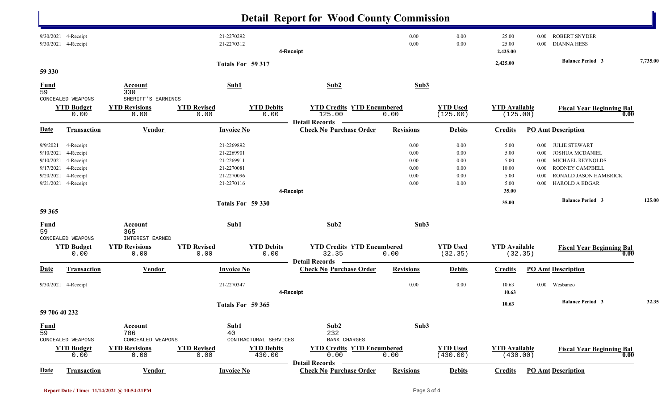|                                                              |                                                                                      |                                                                                         |                                                                                  |                                                                             | <b>Detail Report for Wood County Commission</b>                      |                                                  |                                              |                                               |                                                          |                                                                                                                                         |          |
|--------------------------------------------------------------|--------------------------------------------------------------------------------------|-----------------------------------------------------------------------------------------|----------------------------------------------------------------------------------|-----------------------------------------------------------------------------|----------------------------------------------------------------------|--------------------------------------------------|----------------------------------------------|-----------------------------------------------|----------------------------------------------------------|-----------------------------------------------------------------------------------------------------------------------------------------|----------|
|                                                              | 9/30/2021 4-Receipt<br>9/30/2021 4-Receipt                                           |                                                                                         | 21-2270292<br>21-2270312                                                         |                                                                             | 4-Receipt                                                            | 0.00<br>0.00                                     | 0.00<br>0.00                                 | 25.00<br>25.00<br>2,425.00                    | $0.00\,$<br>$0.00\,$                                     | <b>ROBERT SNYDER</b><br><b>DIANNA HESS</b>                                                                                              |          |
| 59 330                                                       |                                                                                      |                                                                                         |                                                                                  | Totals For 59 317                                                           |                                                                      |                                                  |                                              | 2,425.00                                      |                                                          | <b>Balance Period 3</b>                                                                                                                 | 7,735.00 |
| <b>Fund</b><br>59                                            |                                                                                      | <b>Account</b><br>330                                                                   | Sub1                                                                             |                                                                             | Sub2                                                                 | Sub3                                             |                                              |                                               |                                                          |                                                                                                                                         |          |
|                                                              | CONCEALED WEAPONS<br><b>YTD Budget</b><br>0.00                                       | SHERIFF'S EARNINGS<br><b>YTD Revisions</b><br>0.00                                      | <b>YTD Revised</b><br>0.00                                                       | <b>YTD Debits</b><br>0.00                                                   | <b>YTD Credits YTD Encumbered</b><br>125.00<br><b>Detail Records</b> | 0.00                                             | <b>YTD Used</b><br>(125.00)                  | <b>YTD Available</b><br>(125.00)              |                                                          | <b>Fiscal Year Beginning Bal</b><br>0.00                                                                                                |          |
| <b>Date</b>                                                  | <b>Transaction</b>                                                                   | <b>Vendor</b>                                                                           | <b>Invoice No</b>                                                                |                                                                             | <b>Check No Purchase Order</b>                                       | <b>Revisions</b>                                 | <b>Debits</b>                                | <b>Credits</b>                                |                                                          | <b>PO Amt Description</b>                                                                                                               |          |
| 9/9/2021<br>9/10/2021<br>9/10/2021<br>9/17/2021<br>9/20/2021 | 4-Receipt<br>4-Receipt<br>4-Receipt<br>4-Receipt<br>4-Receipt<br>9/21/2021 4-Receipt |                                                                                         | 21-2269892<br>21-2269901<br>21-2269911<br>21-2270081<br>21-2270096<br>21-2270116 |                                                                             |                                                                      | 0.00<br>0.00<br>0.00<br>0.00<br>$0.00\,$<br>0.00 | 0.00<br>0.00<br>0.00<br>0.00<br>0.00<br>0.00 | 5.00<br>5.00<br>5.00<br>10.00<br>5.00<br>5.00 | $0.00\,$<br>$0.00\,$<br>$0.00\,$<br>0.00<br>0.00<br>0.00 | <b>JULIE STEWART</b><br><b>JOSHUA MCDANIEL</b><br>MICHAEL REYNOLDS<br>RODNEY CAMPBELL<br>RONALD JASON HAMBRICK<br><b>HAROLD A EDGAR</b> |          |
|                                                              |                                                                                      |                                                                                         |                                                                                  |                                                                             | 4-Receipt                                                            |                                                  |                                              | 35.00<br>35.00                                |                                                          | <b>Balance Period 3</b>                                                                                                                 | 125.00   |
| 59 365                                                       |                                                                                      |                                                                                         |                                                                                  | Totals For 59 330                                                           |                                                                      |                                                  |                                              |                                               |                                                          |                                                                                                                                         |          |
| <b>Fund</b><br>59                                            | CONCEALED WEAPONS                                                                    | <b>Account</b><br>365<br>INTEREST EARNED                                                | Sub1                                                                             |                                                                             | Sub2                                                                 | Sub3                                             |                                              |                                               |                                                          |                                                                                                                                         |          |
| <b>YTD Budget</b><br>0.00                                    |                                                                                      | <b>YTD Revised</b><br><b>YTD Debits</b><br><b>YTD Revisions</b><br>0.00<br>0.00<br>0.00 |                                                                                  | <b>YTD Credits YTD Encumbered</b><br>32.35<br>0.00<br><b>Detail Records</b> |                                                                      | <b>YTD Used</b><br>(32.35)                       | <b>YTD Available</b>                         | (32.35)                                       | <b>Fiscal Year Beginning Bal</b><br>0.00                 |                                                                                                                                         |          |
| Date                                                         | <b>Transaction</b>                                                                   | <b>Vendor</b>                                                                           | <b>Invoice No</b>                                                                |                                                                             | <b>Check No Purchase Order</b>                                       | <b>Revisions</b>                                 | <b>Debits</b>                                | <b>Credits</b>                                |                                                          | <b>PO Amt Description</b>                                                                                                               |          |
| 9/30/2021 4-Receipt                                          |                                                                                      |                                                                                         | 21-2270347                                                                       |                                                                             | 4-Receipt                                                            | 0.00                                             | 0.00                                         | 10.63<br>10.63                                |                                                          | 0.00 Wesbanco                                                                                                                           |          |
| Totals For 59 365<br>59 706 40 232                           |                                                                                      |                                                                                         |                                                                                  |                                                                             |                                                                      |                                                  | 10.63                                        |                                               | <b>Balance Period 3</b>                                  | 32.35                                                                                                                                   |          |
| <b>Fund</b><br>59                                            | CONCEALED WEAPONS<br><b>YTD Budget</b>                                               | <b>Account</b><br>706<br>CONCEALED WEAPONS<br><b>YTD Revisions</b>                      | Sub1<br>40<br><b>YTD Revised</b>                                                 | CONTRACTURAL SERVICES<br><b>YTD Debits</b>                                  | Sub2<br>232<br>BANK CHARGES<br><b>YTD Credits YTD Encumbered</b>     | Sub3                                             | <b>YTD Used</b>                              | <b>YTD Available</b>                          |                                                          |                                                                                                                                         |          |
|                                                              | 0.00                                                                                 | 0.00                                                                                    | 0.00                                                                             | 430.00                                                                      | 0.00<br><b>Detail Records</b>                                        | 0.00                                             | (430.00)                                     | (430.00)                                      |                                                          | <b>Fiscal Year Beginning Bal</b><br>0.00                                                                                                |          |
| <b>Date</b>                                                  | <b>Transaction</b>                                                                   | Vendor                                                                                  | <b>Invoice No</b>                                                                |                                                                             | <b>Check No Purchase Order</b>                                       | <b>Revisions</b>                                 | <b>Debits</b>                                | <b>Credits</b>                                |                                                          | <b>PO Amt Description</b>                                                                                                               |          |